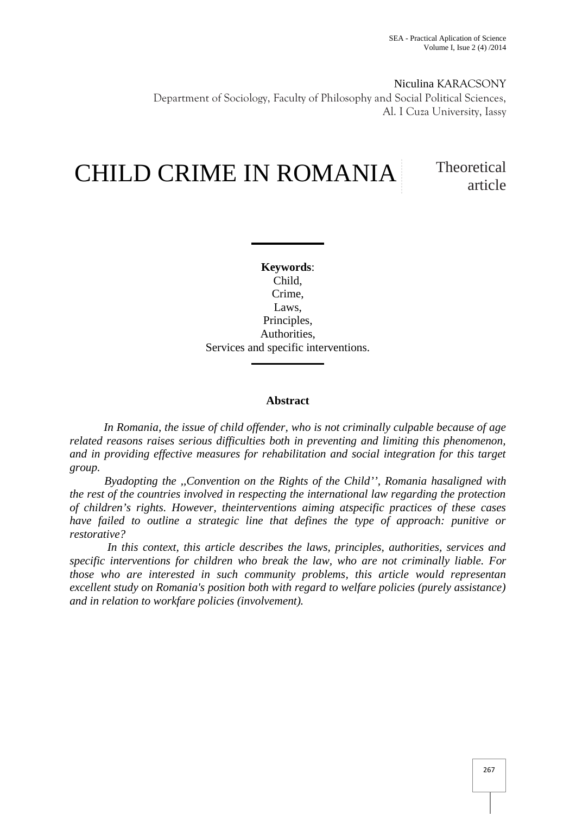Niculina KARACSONY Department of Sociology, Faculty of Philosophy and Social Political Sciences, Al. I Cuza University, Iassy

# CHILD CRIME IN ROMANIA Theoretical

article

**Keywords**: Child, Crime, Laws, Principles, Authorities, Services and specific interventions.

# **Abstract**

*In Romania, the issue of child offender, who is not criminally culpable because of age related reasons raises serious difficulties both in preventing and limiting this phenomenon, and in providing effective measures for rehabilitation and social integration for this target group.*

*Byadopting the ,,Convention on the Rights of the Child'', Romania hasaligned with the rest of the countries involved in respecting the international law regarding the protection of children's rights. However, theinterventions aiming atspecific practices of these cases have failed to outline a strategic line that defines the type of approach: punitive or restorative?*

*In this context, this article describes the laws, principles, authorities, services and specific interventions for children who break the law, who are not criminally liable. For those who are interested in such community problems, this article would representan excellent study on Romania's position both with regard to welfare policies (purely assistance) and in relation to workfare policies (involvement).*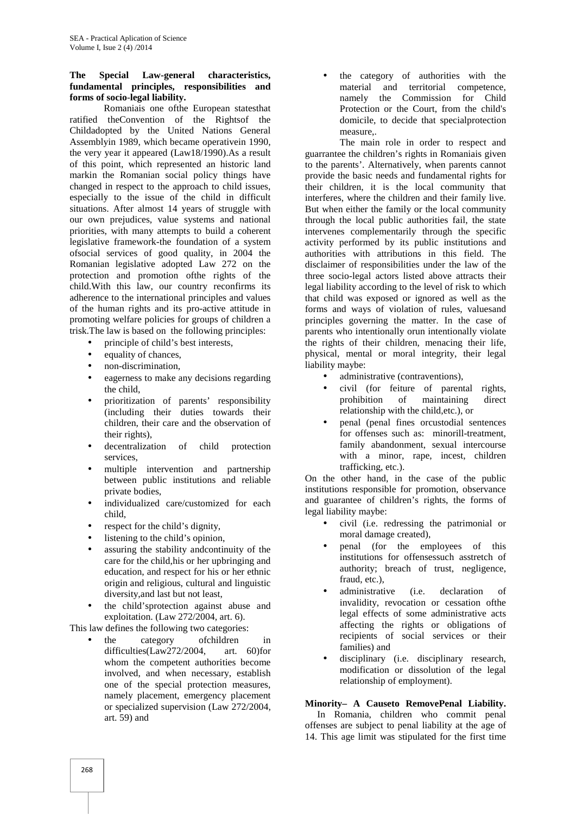#### **The Special Law-general characteristics, fundamental principles, responsibilities and forms of socio**-**legal liability.**

Romaniais one ofthe European statesthat ratified theConvention of the Rightsof the Childadopted by the United Nations General Assemblyin 1989, which became operativein 1990, the very year it appeared (Law18/1990).As a result of this point, which represented an historic land markin the Romanian social policy things have changed in respect to the approach to child issues, especially to the issue of the child in difficult situations. After almost 14 years of struggle with our own prejudices, value systems and national priorities, with many attempts to build a coherent legislative framework-the foundation of a system ofsocial services of good quality, in 2004 the Romanian legislative adopted Law 272 on the protection and promotion ofthe rights of the child.With this law, our country reconfirms its adherence to the international principles and values of the human rights and its pro-active attitude in promoting welfare policies for groups of children a trisk.The law is based on the following principles:

- principle of child's best interests,
- equality of chances,
- non-discrimination,
- eagerness to make any decisions regarding the child,
- prioritization of parents' responsibility (including their duties towards their children, their care and the observation of their rights),
- decentralization of child protection services,
- multiple intervention and partnership between public institutions and reliable private bodies,
- individualized care/customized for each child,
- respect for the child's dignity,
- listening to the child's opinion,
- assuring the stability and continuity of the care for the child,his or her upbringing and education, and respect for his or her ethnic origin and religious, cultural and linguistic diversity,and last but not least,
- the child'sprotection against abuse and exploitation. (Law 272/2004, art. 6).

This law defines the following two categories:

 the category ofchildren in difficulties(Law272/2004, art. 60)for whom the competent authorities become involved, and when necessary, establish one of the special protection measures, namely placement, emergency placement or specialized supervision (Law 272/2004, art. 59) and

 the category of authorities with the material and territorial competence, namely the Commission for Child Protection or the Court, from the child's domicile, to decide that specialprotection measure,.

The main role in order to respect and guarrantee the children's rights in Romaniais given to the parents'. Alternatively, when parents cannot provide the basic needs and fundamental rights for their children, it is the local community that interferes, where the children and their family live. But when either the family or the local community through the local public authorities fail, the state intervenes complementarily through the specific activity performed by its public institutions and authorities with attributions in this field. The disclaimer of responsibilities under the law of the three socio-legal actors listed above attracts their legal liability according to the level of risk to which that child was exposed or ignored as well as the forms and ways of violation of rules, valuesand principles governing the matter. In the case of parents who intentionally orun intentionally violate the rights of their children, menacing their life, physical, mental or moral integrity, their legal liability maybe:

- administrative (contraventions),
- civil (for feiture of parental rights, prohibition of maintaining direct relationship with the child,etc.), or
- penal (penal fines orcustodial sentences for offenses such as: minorill-treatment, family abandonment, sexual intercourse with a minor, rape, incest, children trafficking, etc.).

On the other hand, in the case of the public institutions responsible for promotion, observance and guarantee of children's rights, the forms of legal liability maybe:

- civil (i.e. redressing the patrimonial or moral damage created),
- penal (for the employees of this institutions for offensessuch asstretch of authority; breach of trust, negligence, fraud, etc.),
- administrative (i.e. declaration of invalidity, revocation or cessation ofthe legal effects of some administrative acts affecting the rights or obligations of recipients of social services or their families) and
- disciplinary (i.e. disciplinary research, modification or dissolution of the legal relationship of employment).

# **Minority– A Causeto RemovePenal Liability.**

In Romania, children who commit penal offenses are subject to penal liability at the age of 14. This age limit was stipulated for the first time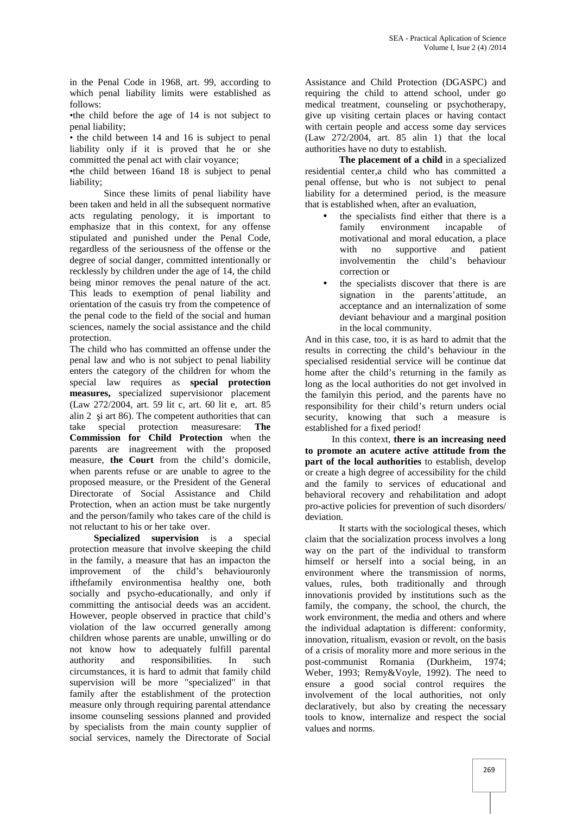in the Penal Code in 1968, art. 99, according to which penal liability limits were established as  $f_0$ llows:

•the child before the age of 14 is not subject to penal liability;

• the child between 14 and 16 is subject to penal liability only if it is proved that he or she committed the penal act with clair voyance;

•the child between 16and 18 is subject to penal liability;

Since these limits of penal liability have been taken and held in all the subsequent normative acts regulating penology, it is important to emphasize that in this context, for any offense stipulated and punished under the Penal Code, regardless of the seriousness of the offense or the degree of social danger, committed intentionally or recklessly by children under the age of 14, the child being minor removes the penal nature of the act. This leads to exemption of penal liability and orientation of the casuis try from the competence of the penal code to the field of the social and human sciences, namely the social assistance and the child protection.

The child who has committed an offense under the penal law and who is not subject to penal liability enters the category of the children for whom the special law requires as **special protection measures,** specialized supervisionor placement (Law 272/2004, art. 59 lit c, art. 60 lit e, art. 85 alin 2 i art 86). The competent authorities that can take special protection measuresare: **The Commission for Child Protection** when the parents are inagreement with the proposed measure, **the Court** from the child's domicile, when parents refuse or are unable to agree to the proposed measure, or the President of the General Directorate of Social Assistance and Child Protection, when an action must be take nurgently and the person/family who takes care of the child is not reluctant to his or her take over.

**Specialized supervision** is a special protection measure that involve skeeping the child in the family, a measure that has an impacton the improvement of the child's behaviouronly ifthefamily environmentisa healthy one, both socially and psycho-educationally, and only if committing the antisocial deeds was an accident. However, people observed in practice that child's violation of the law occurred generally among children whose parents are unable, unwilling or do not know how to adequately fulfill parental authority and responsibilities. In such circumstances, it is hard to admit that family child supervision will be more "specialized" in that family after the establishment of the protection measure only through requiring parental attendance insome counseling sessions planned and provided by specialists from the main county supplier of social services, namely the Directorate of Social

Assistance and Child Protection (DGASPC) and requiring the child to attend school, under go medical treatment, counseling or psychotherapy, give up visiting certain places or having contact with certain people and access some day services (Law 272/2004, art. 85 alin 1) that the local authorities have no duty to establish.

**The placement of a child** in a specialized residential center,a child who has committed a penal offense, but who is not subject to penal liability for a determined period, is the measure that is established when, after an evaluation,

- the specialists find either that there is a family environment incapable of motivational and moral education, a place with no supportive and patient involvementin the child's behaviour correction or
- the specialists discover that there is are signation in the parents'attitude, an acceptance and an internalization of some deviant behaviour and a marginal position in the local community.

And in this case, too, it is as hard to admit that the results in correcting the child's behaviour in the specialised residential service will be continue dat home after the child's returning in the family as long as the local authorities do not get involved in the familyin this period, and the parents have no responsibility for their child's return unders ocial security, knowing that such a measure is established for a fixed period!

In this context, **there is an increasing need to promote an acutere active attitude from the part of the local authorities** to establish, develop or create a high degree of accessibility for the child and the family to services of educational and behavioral recovery and rehabilitation and adopt pro-active policies for prevention of such disorders/ deviation.

It starts with the sociological theses, which claim that the socialization process involves a long way on the part of the individual to transform himself or herself into a social being, in an environment where the transmission of norms, values, rules, both traditionally and through innovationis provided by institutions such as the family, the company, the school, the church, the work environment, the media and others and where the individual adaptation is different: conformity, innovation, ritualism, evasion or revolt, on the basis of a crisis of morality more and more serious in the post-communist Romania (Durkheim, 1974; Weber, 1993; Remy&Voyle, 1992). The need to ensure a good social control requires the involvement of the local authorities, not only declaratively, but also by creating the necessary tools to know, internalize and respect the social values and norms.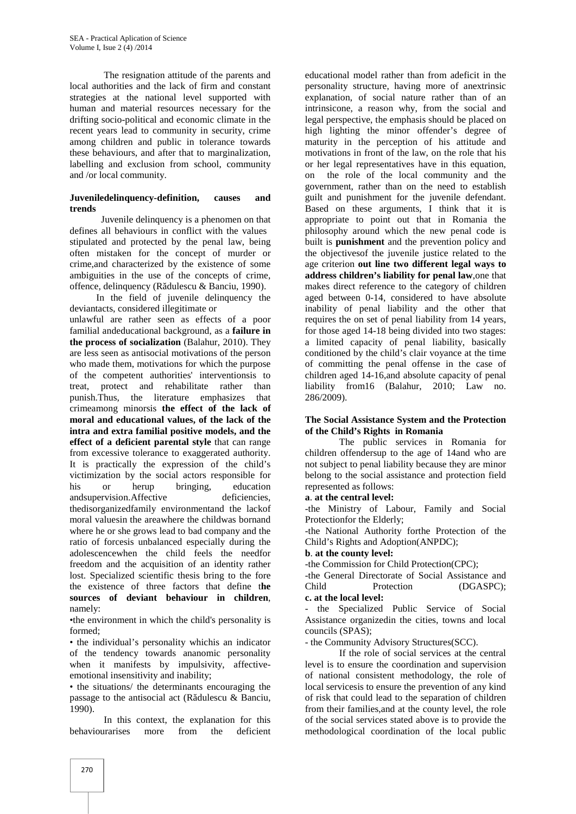The resignation attitude of the parents and local authorities and the lack of firm and constant strategies at the national level supported with human and material resources necessary for the drifting socio-political and economic climate in the recent years lead to community in security, crime among children and public in tolerance towards these behaviours, and after that to marginalization, labelling and exclusion from school, community and /or local community.

# **Juveniledelinquency-definition, causes and trends**

Juvenile delinquency is a phenomen on that defines all behaviours in conflict with the values stipulated and protected by the penal law, being often mistaken for the concept of murder or crime,and characterized by the existence of some ambiguities in the use of the concepts of crime, offence, delinquency (R dulescu  $&$  Banciu, 1990).

In the field of juvenile delinquency the deviantacts, considered illegitimate or

unlawful are rather seen as effects of a poor familial andeducational background, as a **failure in the process of socialization** (Balahur, 2010). They are less seen as antisocial motivations of the person who made them, motivations for which the purpose of the competent authorities' interventionsis to treat, protect and rehabilitate rather than punish.Thus, the literature emphasizes that crimeamong minorsis **the effect of the lack of moral and educational values, of the lack of the intra and extra familial positive models, and the effect of a deficient parental style** that can range from excessive tolerance to exaggerated authority. It is practically the expression of the child's victimization by the social actors responsible for his or herup bringing, education and supervision. Affective deficiencies, thedisorganizedfamily environmentand the lackof moral valuesin the areawhere the childwas bornand where he or she grows lead to bad company and the ratio of forcesis unbalanced especially during the adolescencewhen the child feels the needfor freedom and the acquisition of an identity rather lost. Specialized scientific thesis bring to the fore the existence of three factors that define t**he sources of deviant behaviour in children**, namely:

•the environment in which the child's personality is formed;

• the individual's personality whichis an indicator of the tendency towards ananomic personality when it manifests by impulsivity, affectiveemotional insensitivity and inability;

• the situations/ the determinants encouraging the passage to the antisocial act  $(R$  dulescu  $\&$  Banciu, 1990).

In this context, the explanation for this behaviourarises more from the deficient

educational model rather than from adeficit in the personality structure, having more of anextrinsic explanation, of social nature rather than of an intrinsicone, a reason why, from the social and legal perspective, the emphasis should be placed on high lighting the minor offender's degree of maturity in the perception of his attitude and motivations in front of the law, on the role that his or her legal representatives have in this equation, on the role of the local community and the government, rather than on the need to establish guilt and punishment for the juvenile defendant. Based on these arguments, I think that it is appropriate to point out that in Romania the philosophy around which the new penal code is built is **punishment** and the prevention policy and the objectivesof the juvenile justice related to the age criterion **out line two different legal ways to address children's liability for penal law**,one that makes direct reference to the category of children aged between 0-14, considered to have absolute inability of penal liability and the other that requires the on set of penal liability from 14 years, for those aged 14-18 being divided into two stages: a limited capacity of penal liability, basically conditioned by the child's clair voyance at the time of committing the penal offense in the case of children aged 14-16,and absolute capacity of penal liability from16 (Balahur, 2010; Law no. 286/2009).

#### **The Social Assistance System and the Protection of the Child's Rights in Romania**

The public services in Romania for children offendersup to the age of 14and who are not subject to penal liability because they are minor belong to the social assistance and protection field represented as follows:

**a**. **at the central level:**

-the Ministry of Labour, Family and Social Protectionfor the Elderly;

-the National Authority forthe Protection of the Child's Rights and Adoption(ANPDC);

#### **b**. **at the county level:**

-the Commission for Child Protection(CPC);

-the General Directorate of Social Assistance and Child Protection (DGASPC); **c. at the local level:**

the Specialized Public Service of Social Assistance organizedin the cities, towns and local councils (SPAS);

- the Community Advisory Structures(SCC).

If the role of social services at the central level is to ensure the coordination and supervision of national consistent methodology, the role of local servicesis to ensure the prevention of any kind of risk that could lead to the separation of children from their families,and at the county level, the role of the social services stated above is to provide the methodological coordination of the local public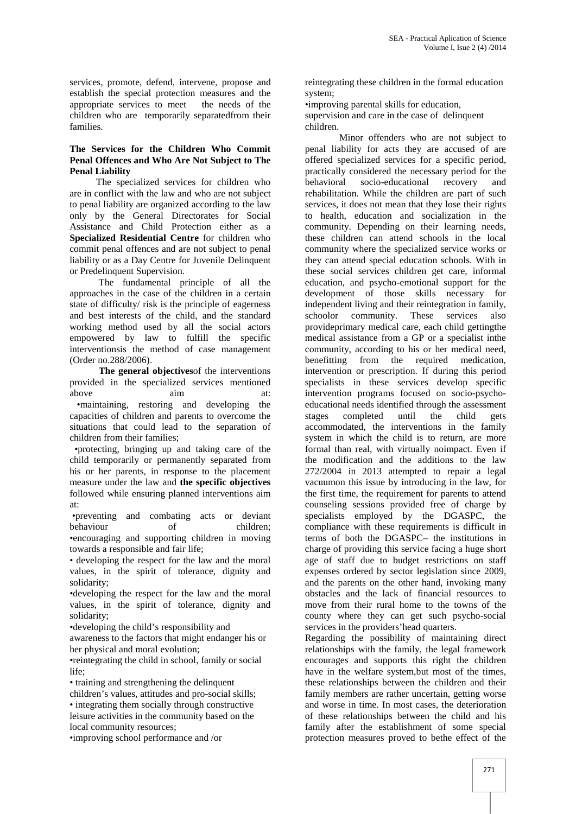services, promote, defend, intervene, propose and establish the special protection measures and the appropriate services to meet children who are temporarily separatedfrom their families.

#### **The Services for the Children Who Commit Penal Offences and Who Are Not Subject to The Penal Liability**

The specialized services for children who are in conflict with the law and who are not subject to penal liability are organized according to the law only by the General Directorates for Social Assistance and Child Protection either as a **Specialized Residential Centre** for children who commit penal offences and are not subject to penal liability or as a Day Centre for Juvenile Delinquent or Predelinquent Supervision.

The fundamental principle of all the approaches in the case of the children in a certain state of difficulty/ risk is the principle of eagerness and best interests of the child, and the standard working method used by all the social actors empowered by law to fulfill the specific interventionsis the method of case management (Order no.288/2006).

**The general objectives**of the interventions provided in the specialized services mentioned above aim at: •maintaining, restoring and developing the capacities of children and parents to overcome the situations that could lead to the separation of children from their families;

•protecting, bringing up and taking care of the child temporarily or permanently separated from his or her parents, in response to the placement measure under the law and **the specific objectives** followed while ensuring planned interventions aim at:

•preventing and combating acts or deviant behaviour of •encouraging and supporting children in moving towards a responsible and fair life;

• developing the respect for the law and the moral values, in the spirit of tolerance, dignity and solidarity;

•developing the respect for the law and the moral values, in the spirit of tolerance, dignity and solidarity;

•developing the child's responsibility and

awareness to the factors that might endanger his or her physical and moral evolution;

•reintegrating the child in school, family or social life;

• training and strengthening the delinquent

children's values, attitudes and pro-social skills; • integrating them socially through constructive leisure activities in the community based on the local community resources;

•improving school performance and /or

reintegrating these children in the formal education system;

•improving parental skills for education,

supervision and care in the case of delinquent children.

Minor offenders who are not subject to penal liability for acts they are accused of are offered specialized services for a specific period, practically considered the necessary period for the socio-educational recovery and rehabilitation. While the children are part of such services, it does not mean that they lose their rights to health, education and socialization in the community. Depending on their learning needs, these children can attend schools in the local community where the specialized service works or they can attend special education schools. With in these social services children get care, informal education, and psycho-emotional support for the development of those skills necessary for independent living and their reintegration in family,<br>schoolor community. These services also community. These services also provideprimary medical care, each child gettingthe medical assistance from a GP or a specialist inthe community, according to his or her medical need, benefitting from the required medication, intervention or prescription. If during this period specialists in these services develop specific intervention programs focused on socio-psycho educational needs identified through the assessment stages completed until the child gets accommodated, the interventions in the family system in which the child is to return, are more formal than real, with virtually noimpact. Even if the modification and the additions to the law 272/2004 in 2013 attempted to repair a legal vacuumon this issue by introducing in the law, for the first time, the requirement for parents to attend counseling sessions provided free of charge by specialists employed by the DGASPC, the compliance with these requirements is difficult in terms of both the DGASPC– the institutions in charge of providing this service facing a huge short age of staff due to budget restrictions on staff expenses ordered by sector legislation since 2009, and the parents on the other hand, invoking many obstacles and the lack of financial resources to move from their rural home to the towns of the county where they can get such psycho-social services in the providers'head quarters.

Regarding the possibility of maintaining direct relationships with the family, the legal framework encourages and supports this right the children have in the welfare system,but most of the times, these relationships between the children and their family members are rather uncertain, getting worse and worse in time. In most cases, the deterioration of these relationships between the child and his family after the establishment of some special protection measures proved to bethe effect of the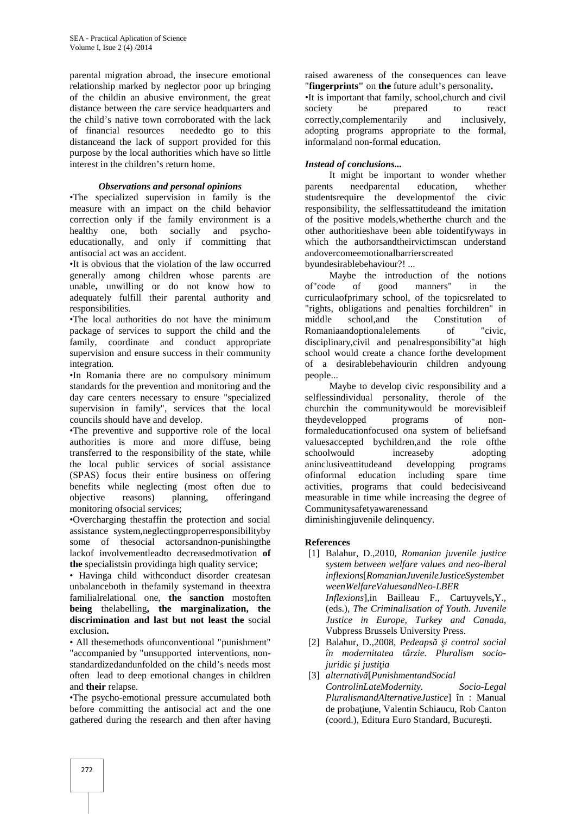parental migration abroad, the insecure emotional relationship marked by neglector poor up bringing of the childin an abusive environment, the great distance between the care service headquarters and society the child's native town corroborated with the lack of financial resources neededto go to this distanceand the lack of support provided for this purpose by the local authorities which have so little interest in the children's return home.

### *Observations and personal opinions*

•The specialized supervision in family is the measure with an impact on the child behavior correction only if the family environment is a healthy one, both socially and psycho educationally, and only if committing that antisocial act was an accident.

•It is obvious that the violation of the law occurred generally among children whose parents are unable**,** unwilling or do not know how to adequately fulfill their parental authority and responsibilities.

•The local authorities do not have the minimum package of services to support the child and the family, coordinate and conduct appropriate supervision and ensure success in their community integration.

•In Romania there are no compulsory minimum standards for the prevention and monitoring and the day care centers necessary to ensure "specialized supervision in family", services that the local councils should have and develop.

•The preventive and supportive role of the local authorities is more and more diffuse, being transferred to the responsibility of the state, while the local public services of social assistance (SPAS) focus their entire business on offering benefits while neglecting (most often due to objective reasons) planning, offeringand monitoring ofsocial services;

•Overcharging thestaffin the protection and social assistance system,neglectingproperresponsibilityby some of thesocial actorsandnon-punishingthe lackof involvementleadto decreasedmotivation **of the** specialistsin providinga high quality service;

• Havinga child withconduct disorder createsan unbalanceboth in thefamily systemand in theextra familialrelational one, **the sanction** mostoften **being** thelabelling**, the marginalization, the discrimination and last but not least the** social exclusion**.**

• All thesemethods ofunconventional "punishment" "accompanied by "unsupported interventions, non standardizedandunfolded on the child's needs most often lead to deep emotional changes in children and **their** relapse.

•The psycho-emotional pressure accumulated both before committing the antisocial act and the one gathered during the research and then after having

raised awareness of the consequences can leave "**fingerprints"** on **the** future adult's personality**.**

•It is important that family, school,church and civil be prepared to react correctly,complementarily and inclusively, adopting programs appropriate to the formal, informaland non-formal education.

# *Instead of conclusions...*

It might be important to wonder whether parents needparental education, whether studentsrequire the developmentof the civic responsibility, the selflessattitudeand the imitation of the positive models,whetherthe church and the other authoritieshave been able toidentifyways in which the authorsandtheirvictimscan understand andovercomeemotionalbarrierscreated

byundesirablebehaviour?! ...

Maybe the introduction of the notions of"code of good manners" in the curriculaofprimary school, of the topicsrelated to "rights, obligations and penalties forchildren" in school, and the Constitution of Romaniaandoptionalelements of "civic, disciplinary,civil and penalresponsibility"at high school would create a chance forthe development of a desirablebehaviourin children andyoung people...

Maybe to develop civic responsibility and a selflessindividual personality, therole of the churchin the communitywould be morevisibleif theydevelopped programs of nonformaleducationfocused ona system of beliefsand valuesaccepted bychildren,and the role ofthe schoolwould increaseby adopting aninclusiveattitudeand developping programs ofinformal education including spare time activities, programs that could bedecisiveand measurable in time while increasing the degree of Communitysafetyawarenessand diminishingjuvenile delinquency.

#### **References**

- [1] Balahur, D.,2010, *Romanian juvenile justice system between welfare values and neo-lberal inflexions*[*RomanianJuvenileJusticeSystembet weenWelfareValuesandNeo-LBER Inflexions*]*,*in Bailleau F., Cartuyvels**,**Y., (eds.), *The Criminalisation of Youth. Juvenile Justice in Europe, Turkey and Canada*, Vubpress Brussels University Press.
- [2] Balahur, D.,2008, *Pedeaps i control social în modernitatea târzie. Pluralism socio* $j$ *uridic i* justi *ia*
- [3] *alternativ* [*PunishmentandSocial ControlinLateModernity. Socio-Legal PluralismandAlternativeJustice*] în : Manual de proba june, Valentin Schiaucu, Rob Canton (coord.), Editura Euro Standard, Bucure ti.